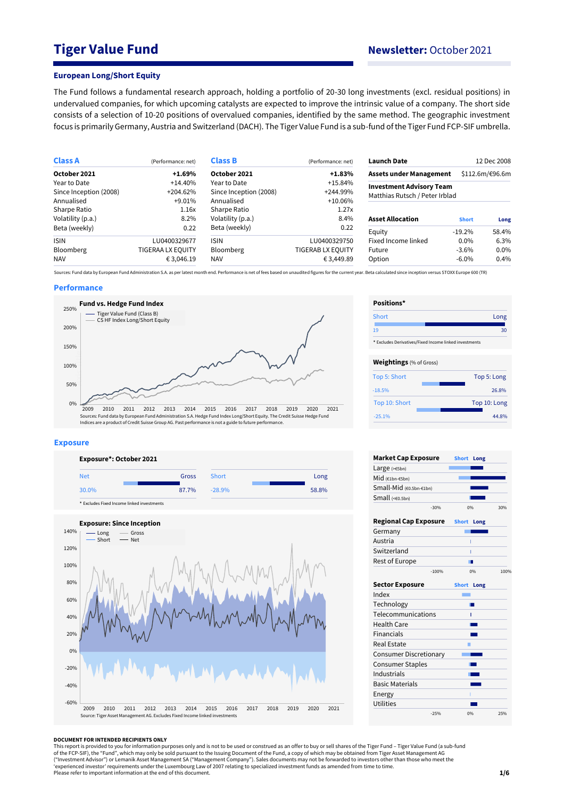# **Tiger Value Fund Newsletter:** October 2021

### **European Long/Short Equity**

The Fund follows a fundamental research approach, holding a portfolio of 20-30 long investments (excl. residual positions) in undervalued companies, for which upcoming catalysts are expected to improve the intrinsic value of a company. The short side consists of a selection of 10-20 positions of overvalued companies, identified by the same method. The geographic investment focus is primarily Germany, Austria and Switzerland (DACH). The Tiger Value Fund is a sub-fund of the Tiger Fund FCP-SIF umbrella.

| <b>Class A</b>         | (Performance: net)       | <b>Class B</b>         | (Performance: net) | <b>Launch Date</b>              |                 | 12 Dec 2008 |
|------------------------|--------------------------|------------------------|--------------------|---------------------------------|-----------------|-------------|
| October 2021           | $+1.69%$                 | October 2021           | $+1.83%$           | <b>Assets under Management</b>  | \$112.6m/€96.6m |             |
| Year to Date           | $+14.40%$                | Year to Date           | $+15.84%$          | <b>Investment Advisory Team</b> |                 |             |
| Since Inception (2008) | $+204.62%$               | Since Inception (2008) | $+244.99%$         | Matthias Rutsch / Peter Irblad  |                 |             |
| Annualised             | $+9.01\%$                | Annualised             | $+10.06\%$         |                                 |                 |             |
| Sharpe Ratio           | 1.16x                    | Sharpe Ratio           | 1.27x              |                                 |                 |             |
| Volatility (p.a.)      | 8.2%                     | Volatility (p.a.)      | 8.4%               | <b>Asset Allocation</b>         | <b>Short</b>    | Long        |
| Beta (weekly)          | 0.22                     | Beta (weekly)          | 0.22               | Equity                          | $-19.2%$        | 58.4%       |
| <b>ISIN</b>            | LU0400329677             | <b>ISIN</b>            | LU0400329750       | Fixed Income linked             | $0.0\%$         | 6.3%        |
| <b>Bloomberg</b>       | <b>TIGERAA LX EQUITY</b> | <b>Bloomberg</b>       | TIGERAB LX EQUITY  | Future                          | $-3.6%$         | $0.0\%$     |
| <b>NAV</b>             | € 3,046.19               | <b>NAV</b>             | € 3,449.89         | Option                          | $-6.0\%$        | 0.4%        |

Sources: Fund data by European Fund Administration S.A. as per latest month end. Performance is net of fees based on unaudited figures for the current year. Beta calculated since inception versus STOXX Europe 600 (TR)

### **Performance**



#### **Exposure**





| Positions*                                             |              |
|--------------------------------------------------------|--------------|
| Short                                                  | Long         |
| 19                                                     | 30           |
| * Excludes Derivatives/Fixed Income linked investments |              |
| <b>Weightings</b> (% of Gross)                         |              |
| Top 5: Short                                           | Top 5: Long  |
| $-18.5%$                                               | 26.8%        |
| Top 10: Short                                          | Top 10: Long |
| $-25.1%$                                               | 44.8%        |

| <b>Market Cap Exposure</b>    | <b>Short</b><br>Long |      |
|-------------------------------|----------------------|------|
| Large $(>=5bn)$               |                      |      |
| Mid (€1bn-€5bn)               |                      |      |
| Small-Mid (€0.5bn-€1bn)       |                      |      |
| Small $(60.5bn)$              |                      |      |
| $-30%$                        | 0%                   | 30%  |
| <b>Regional Cap Exposure</b>  | <b>Short</b><br>Long |      |
| Germany                       |                      |      |
| Austria                       |                      |      |
| Switzerland                   | ı                    |      |
| <b>Rest of Europe</b>         |                      |      |
| $-100%$                       | 0%                   | 100% |
| <b>Sector Exposure</b>        | <b>Short</b><br>Long |      |
| Index                         |                      |      |
| Technology                    |                      |      |
| Telecommunications            | ī                    |      |
| <b>Health Care</b>            |                      |      |
| <b>Financials</b>             |                      |      |
| <b>Real Estate</b>            |                      |      |
| <b>Consumer Discretionary</b> |                      |      |
| <b>Consumer Staples</b>       |                      |      |
| Industrials                   |                      |      |
| <b>Basic Materials</b>        |                      |      |
| Energy                        |                      |      |
| <b>Utilities</b>              |                      |      |
| $-25%$                        | 0%                   | 25%  |

#### **DOCUMENT FOR INTENDED RECIPIENTS ONLY**

This report is provided to you for information purposes only and is not to be used or construed as an offer to buy or sell shares of the Tiger Fund – Tiger Value Fund (a sub-fund<br>of the FCP-SIF), the "Fund", which may only ("Investment Advisor") or Lemanik Asset Management SA ("Management Company"). Sales documents may not be forwarded to investors other than those who meet the<br>'experienced investor' requirements under the Luxembourg Law of Please refer to important information at the end of this document.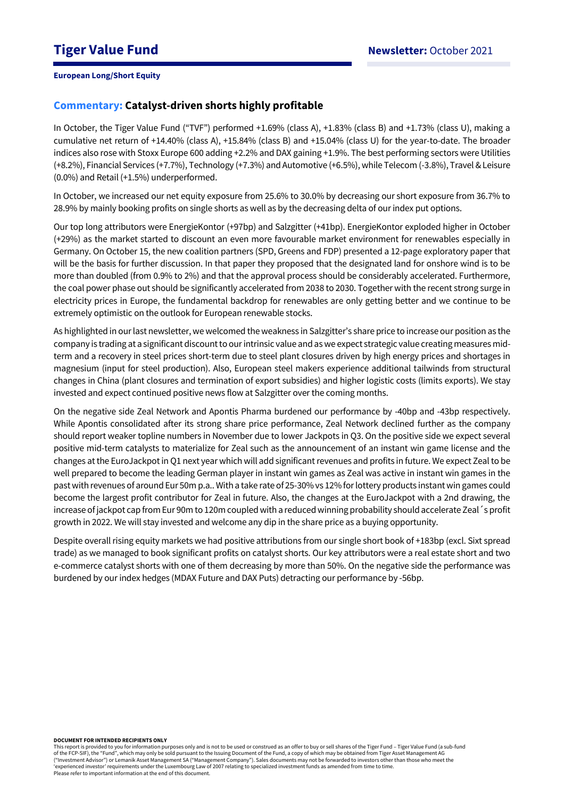# **Commentary: Catalyst-driven shorts highly profitable**

In October, the Tiger Value Fund ("TVF") performed +1.69% (class A), +1.83% (class B) and +1.73% (class U), making a cumulative net return of +14.40% (class A), +15.84% (class B) and +15.04% (class U) for the year-to-date. The broader indices also rose with Stoxx Europe 600 adding +2.2% and DAX gaining +1.9%. The best performing sectors were Utilities (+8.2%), Financial Services (+7.7%), Technology (+7.3%) and Automotive (+6.5%), while Telecom (-3.8%), Travel &Leisure (0.0%) and Retail (+1.5%) underperformed.

In October, we increased our net equity exposure from 25.6% to 30.0% by decreasing our short exposure from 36.7% to 28.9% by mainly booking profits on single shorts as well as by the decreasing delta of our index put options.

Our top long attributors were EnergieKontor (+97bp) and Salzgitter (+41bp). EnergieKontor exploded higher in October (+29%) as the market started to discount an even more favourable market environment for renewables especially in Germany. On October 15, the new coalition partners (SPD, Greens and FDP) presented a 12-page exploratory paper that will be the basis for further discussion. In that paper they proposed that the designated land for onshore wind is to be more than doubled (from 0.9% to 2%) and that the approval process should be considerably accelerated. Furthermore, the coal power phase out should be significantly accelerated from 2038 to 2030. Together with the recent strong surge in electricity prices in Europe, the fundamental backdrop for renewables are only getting better and we continue to be extremely optimistic on the outlook for European renewable stocks.

As highlighted in our last newsletter, we welcomed the weakness in Salzgitter's share price to increase our position as the company is trading at a significant discount to our intrinsic value and as we expect strategic value creating measures midterm and a recovery in steel prices short-term due to steel plant closures driven by high energy prices and shortages in magnesium (input for steel production). Also, European steel makers experience additional tailwinds from structural changes in China (plant closures and termination of export subsidies) and higher logistic costs (limits exports). We stay invested and expect continued positive news flow at Salzgitter over the coming months.

On the negative side Zeal Network and Apontis Pharma burdened our performance by -40bp and -43bp respectively. While Apontis consolidated after its strong share price performance, Zeal Network declined further as the company should report weaker topline numbers in November due to lower Jackpots in Q3. On the positive side we expect several positive mid-term catalysts to materialize for Zeal such as the announcement of an instant win game license and the changes at the EuroJackpot in Q1 next year which will add significant revenues and profits in future. We expect Zeal to be well prepared to become the leading German player in instant win games as Zeal was active in instant win games in the past with revenues of around Eur 50m p.a.. With a take rate of 25-30% vs 12% for lottery products instant win games could become the largest profit contributor for Zeal in future. Also, the changes at the EuroJackpot with a 2nd drawing, the increase of jackpot cap from Eur 90m to 120m coupled with a reduced winning probability should accelerate Zeal´s profit growth in 2022. We will stay invested and welcome any dip in the share price as a buying opportunity.

Despite overall rising equity markets we had positive attributions from our single short book of +183bp (excl. Sixt spread trade) as we managed to book significant profits on catalyst shorts. Our key attributors were a real estate short and two e-commerce catalyst shorts with one of them decreasing by more than 50%. On the negative side the performance was burdened by our index hedges (MDAX Future and DAX Puts) detracting our performance by -56bp.

#### **DOCUMENT FOR INTENDED RECIPIENTS ONLY**

This report is provided to you for information purposes only and is not to be used or construed as an offer to buy or sell shares of the Tiger Fund – Tiger Value Fund (a sub-fund of the FCP-SIF), the "Fund", which may only be sold pursuant to the Issuing Document of the Fund, a copy of which may be obtained from Tiger Asset Management AG ("Investment Advisor") or Lemanik Asset Management SA ("Management Company"). Sales documents may not be forwarded to investors other than those who meet the 'experienced investor' requirements under the Luxembourg Law of 2007 relating to specialized investment funds as amended from time to time. Please refer to important information at the end of this document.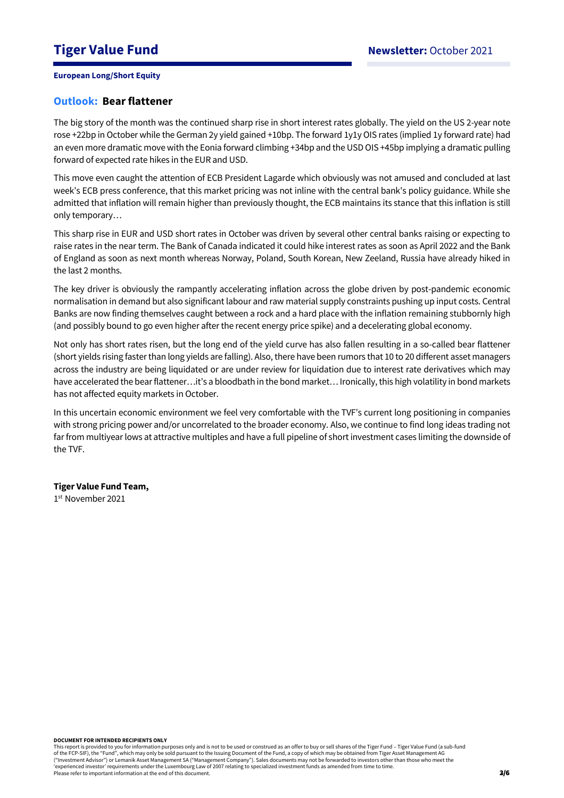# **Outlook: Bear flattener**

The big story of the month was the continued sharp rise in short interest rates globally. The yield on the US 2-year note rose +22bp in October while the German 2y yield gained +10bp. The forward 1y1y OIS rates (implied 1y forward rate) had an even more dramatic move with the Eonia forward climbing +34bp and the USD OIS +45bp implying a dramatic pulling forward of expected rate hikes in the EUR and USD.

This move even caught the attention of ECB President Lagarde which obviously was not amused and concluded at last week's ECB press conference, that this market pricing was not inline with the central bank's policy guidance. While she admitted that inflation will remain higher than previously thought, the ECB maintains its stance that this inflation is still only temporary…

This sharp rise in EUR and USD short rates in October was driven by several other central banks raising or expecting to raise rates in the near term. The Bank of Canada indicated it could hike interest rates as soon as April 2022 and the Bank of England as soon as next month whereas Norway, Poland, South Korean, New Zeeland, Russia have already hiked in the last 2 months.

The key driver is obviously the rampantly accelerating inflation across the globe driven by post-pandemic economic normalisation in demand but also significant labour and raw material supply constraints pushing up input costs. Central Banks are now finding themselves caught between a rock and a hard place with the inflation remaining stubbornly high (and possibly bound to go even higher after the recent energy price spike) and a decelerating global economy.

Not only has short rates risen, but the long end of the yield curve has also fallen resulting in a so-called bear flattener (short yields rising faster than long yields are falling). Also, there have been rumors that 10 to 20 different asset managers across the industry are being liquidated or are under review for liquidation due to interest rate derivatives which may have accelerated the bear flattener…it's a bloodbath in the bond market… Ironically, this high volatility in bond markets has not affected equity markets in October.

In this uncertain economic environment we feel very comfortable with the TVF's current long positioning in companies with strong pricing power and/or uncorrelated to the broader economy. Also, we continue to find long ideas trading not far from multiyear lows at attractive multiples and have a full pipeline of short investment cases limiting the downside of the TVF.

## **Tiger Value Fund Team,**

1 st November 2021

This report is provided to you for information purposes only and is not to be used or construed as an offer to buy or sell shares of the Tiger Fund – Tiger Value Fund (a sub-fund of the FCP-SIF), the "Fund", which may only be sold pursuant to the Issuing Document of the Fund, a copy of which may be obtained from Tiger Asset Management AG ("Investment Advisor") or Lemanik Asset Management SA ("Management Company"). Sales documents may not be forwarded to investors other than those who meet the 'experienced investor' requirements under the Luxembourg Law of 2007 relating to specialized investment funds as amended from time to time. Please refer to important information at the end of this document.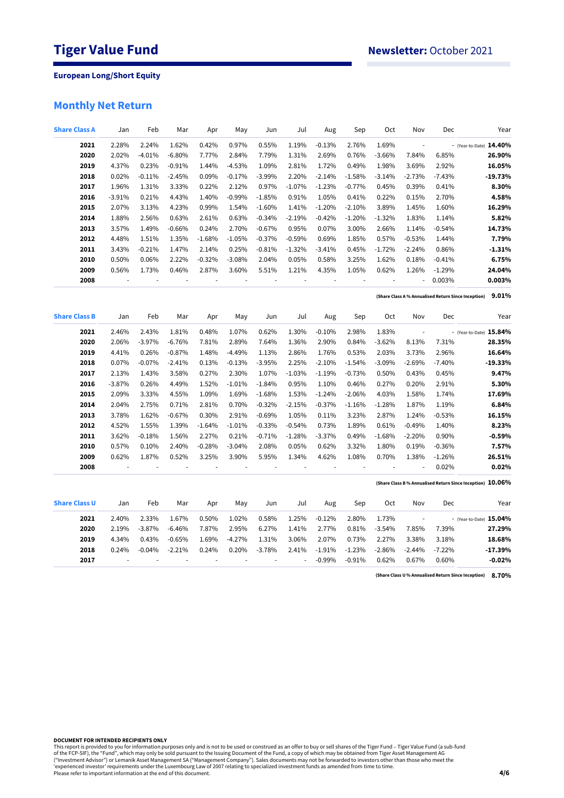# **Monthly Net Return**

| <b>Share Class A</b> | Jan            | Feb      | Mar      | Apr                      | May      | Jun       | Jul      | Aug      | Sep                      | Oct            | Nov                      | Dec      | Year                                                       |
|----------------------|----------------|----------|----------|--------------------------|----------|-----------|----------|----------|--------------------------|----------------|--------------------------|----------|------------------------------------------------------------|
| 2021                 | 2.28%          | 2.24%    | 1.62%    | 0.42%                    | 0.97%    | 0.55%     | 1.19%    | $-0.13%$ | 2.76%                    | 1.69%          | $\overline{\phantom{a}}$ |          | - (Year-to-Date) 14.40%                                    |
| 2020                 | 2.02%          | $-4.01%$ | $-6.80%$ | 7.77%                    | 2.84%    | 7.79%     | 1.31%    | 2.69%    | 0.76%                    | $-3.66%$       | 7.84%                    | 6.85%    | 26.90%                                                     |
| 2019                 | 4.37%          | 0.23%    | $-0.91%$ | 1.44%                    | $-4.53%$ | 1.09%     | 2.81%    | 1.72%    | 0.49%                    | 1.98%          | 3.69%                    | 2.92%    | 16.05%                                                     |
| 2018                 | 0.02%          | $-0.11%$ | $-2.45%$ | 0.09%                    | $-0.17%$ | $-3.99\%$ | 2.20%    | $-2.14%$ | $-1.58%$                 | $-3.14%$       | $-2.73%$                 | $-7.43%$ | $-19.73%$                                                  |
| 2017                 | 1.96%          | 1.31%    | 3.33%    | 0.22%                    | 2.12%    | 0.97%     | $-1.07%$ | $-1.23%$ | $-0.77%$                 | 0.45%          | 0.39%                    | 0.41%    | 8.30%                                                      |
| 2016                 | $-3.91%$       | 0.21%    | 4.43%    | 1.40%                    | $-0.99%$ | $-1.85%$  | 0.91%    | 1.05%    | 0.41%                    | 0.22%          | 0.15%                    | 2.70%    | 4.58%                                                      |
| 2015                 | 2.07%          | 3.13%    | 4.23%    | 0.99%                    | 1.54%    | $-1.60%$  | 1.41%    | $-1.20%$ | $-2.10%$                 | 3.89%          | 1.45%                    | 1.60%    | 16.29%                                                     |
| 2014                 | 1.88%          | 2.56%    | 0.63%    | 2.61%                    | 0.63%    | $-0.34%$  | $-2.19%$ | $-0.42%$ | $-1.20%$                 | $-1.32%$       | 1.83%                    | 1.14%    | 5.82%                                                      |
| 2013                 | 3.57%          | 1.49%    | $-0.66%$ | 0.24%                    | 2.70%    | $-0.67%$  | 0.95%    | 0.07%    | 3.00%                    | 2.66%          | 1.14%                    | $-0.54%$ | 14.73%                                                     |
| 2012                 | 4.48%          | 1.51%    | 1.35%    | $-1.68%$                 | $-1.05%$ | $-0.37%$  | $-0.59%$ | 0.69%    | 1.85%                    | 0.57%          | $-0.53%$                 | 1.44%    | 7.79%                                                      |
| 2011                 | 3.43%          | $-0.21%$ | 1.47%    | 2.14%                    | 0.25%    | $-0.81%$  | $-1.32%$ | $-3.41%$ | 0.45%                    | $-1.72%$       | $-2.24%$                 | 0.86%    | $-1.31%$                                                   |
| 2010                 | 0.50%          | 0.06%    | 2.22%    | $-0.32%$                 | $-3.08%$ | 2.04%     | 0.05%    | 0.58%    | 3.25%                    | 1.62%          | 0.18%                    | $-0.41%$ | 6.75%                                                      |
| 2009                 | 0.56%          | 1.73%    | 0.46%    | 2.87%                    | 3.60%    | 5.51%     | 1.21%    | 4.35%    | 1.05%                    | 0.62%          | 1.26%                    | $-1.29%$ | 24.04%                                                     |
| 2008                 | $\overline{a}$ |          |          | $\overline{\phantom{a}}$ |          |           |          | ÷,       | $\overline{\phantom{a}}$ | $\blacksquare$ | $\overline{\phantom{a}}$ | 0.003%   | 0.003%                                                     |
|                      |                |          |          |                          |          |           |          |          |                          |                |                          |          | (Share Class A % Annualised Return Since Inception) 9.01%  |
| <b>Share Class B</b> | Jan            | Feb      | Mar      | Apr                      | May      | Jun       | Jul      | Aug      | Sep                      | Oct            | Nov                      | Dec      | Year                                                       |
| 2021                 | 2.46%          | 2.43%    | 1.81%    | 0.48%                    | 1.07%    | 0.62%     | 1.30%    | $-0.10%$ | 2.98%                    | 1.83%          | $\overline{\phantom{a}}$ |          | - (Year-to-Date) 15.84%                                    |
| 2020                 | 2.06%          | $-3.97%$ | $-6.76%$ | 7.81%                    | 2.89%    | 7.64%     | 1.36%    | 2.90%    | 0.84%                    | $-3.62%$       | 8.13%                    | 7.31%    | 28.35%                                                     |
| 2019                 | 4.41%          | 0.26%    | $-0.87%$ | 1.48%                    | $-4.49%$ | 1.13%     | 2.86%    | 1.76%    | 0.53%                    | 2.03%          | 3.73%                    | 2.96%    | 16.64%                                                     |
| 2018                 | 0.07%          | $-0.07%$ | $-2.41%$ | 0.13%                    | $-0.13%$ | $-3.95%$  | 2.25%    | $-2.10%$ | $-1.54%$                 | $-3.09%$       | $-2.69%$                 | $-7.40%$ | $-19.33%$                                                  |
| 2017                 | 2.13%          | 1.43%    | 3.58%    | 0.27%                    | 2.30%    | 1.07%     | $-1.03%$ | $-1.19%$ | $-0.73%$                 | 0.50%          | 0.43%                    | 0.45%    | 9.47%                                                      |
| 2016                 | $-3.87%$       | 0.26%    | 4.49%    | 1.52%                    | $-1.01%$ | $-1.84%$  | 0.95%    | 1.10%    | 0.46%                    | 0.27%          | 0.20%                    | 2.91%    | 5.30%                                                      |
| 2015                 | 2.09%          | 3.33%    | 4.55%    | 1.09%                    | 1.69%    | $-1.68%$  | 1.53%    | $-1.24%$ | $-2.06%$                 | 4.03%          | 1.58%                    | 1.74%    | 17.69%                                                     |
| 2014                 | 2.04%          | 2.75%    | 0.71%    | 2.81%                    | 0.70%    | $-0.32%$  | $-2.15%$ | $-0.37%$ | $-1.16%$                 | $-1.28%$       | 1.87%                    | 1.19%    | 6.84%                                                      |
| 2013                 | 3.78%          | 1.62%    | $-0.67%$ | 0.30%                    | 2.91%    | $-0.69%$  | 1.05%    | 0.11%    | 3.23%                    | 2.87%          | 1.24%                    | $-0.53%$ | 16.15%                                                     |
| 2012                 | 4.52%          | 1.55%    | 1.39%    | $-1.64%$                 | $-1.01%$ | $-0.33%$  | $-0.54%$ | 0.73%    | 1.89%                    | 0.61%          | $-0.49%$                 | 1.40%    | 8.23%                                                      |
| 2011                 | 3.62%          | $-0.18%$ | 1.56%    | 2.27%                    | 0.21%    | $-0.71%$  | $-1.28%$ | $-3.37%$ | 0.49%                    | $-1.68%$       | $-2.20%$                 | 0.90%    | $-0.59%$                                                   |
| 2010                 | 0.57%          | 0.10%    | 2.40%    | $-0.28%$                 | $-3.04%$ | 2.08%     | 0.05%    | 0.62%    | 3.32%                    | 1.80%          | 0.19%                    | $-0.36%$ | 7.57%                                                      |
| 2009                 | 0.62%          | 1.87%    | 0.52%    | 3.25%                    | 3.90%    | 5.95%     | 1.34%    | 4.62%    | 1.08%                    | 0.70%          | 1.38%                    | $-1.26%$ | 26.51%                                                     |
| 2008                 | $\overline{a}$ |          |          |                          |          |           |          |          |                          |                | $\overline{\phantom{a}}$ | 0.02%    | 0.02%                                                      |
|                      |                |          |          |                          |          |           |          |          |                          |                |                          |          | (Share Class B % Annualised Return Since Inception) 10.06% |
| <b>Share Class U</b> | Jan            | Feb      | Mar      | Apr                      | May      | Jun       | Jul      | Aug      | Sep                      | Oct            | Nov                      | Dec      | Year                                                       |
| 2021                 | 2.40%          | 2.33%    | 1.67%    | 0.50%                    | 1.02%    | 0.58%     | 1.25%    | $-0.12%$ | 2.80%                    | 1.73%          | $\blacksquare$           |          | - (Year-to-Date) 15.04%                                    |
| 2020                 | 2.19%          | $-3.87%$ | $-6.46%$ | 7.87%                    | 2.95%    | 6.27%     | 1.41%    | 2.77%    | 0.81%                    | $-3.54%$       | 7.85%                    | 7.39%    | 27.29%                                                     |
| 2019                 | 4.34%          | 0.43%    | $-0.65%$ | 1.69%                    | $-4.27%$ | 1.31%     | 3.06%    | 2.07%    | 0.73%                    | 2.27%          | 3.38%                    | 3.18%    | 18.68%                                                     |
| 2018                 | 0.24%          | $-0.04%$ | $-2.21%$ | 0.24%                    | 0.20%    | $-3.78%$  | 2.41%    | $-1.91%$ | $-1.23%$                 | $-2.86%$       | $-2.44%$                 | $-7.22%$ | $-17.39%$                                                  |

- - - - - - - -0.99% -0.91% 0.62% 0.67% 0.60% **-0.02%**

**8.70% (Share Class U % Annualised Return Since Inception)**

#### **DOCUMENT FOR INTENDED RECIPIENTS ONLY**

This report is provided to you for information purposes only and is not to be used or construed as an offer to buy or sell shares of the Tiger Fund – Tiger Value Fund (a sub-fund<br>of the FCP-SIF), the "Fund", which may only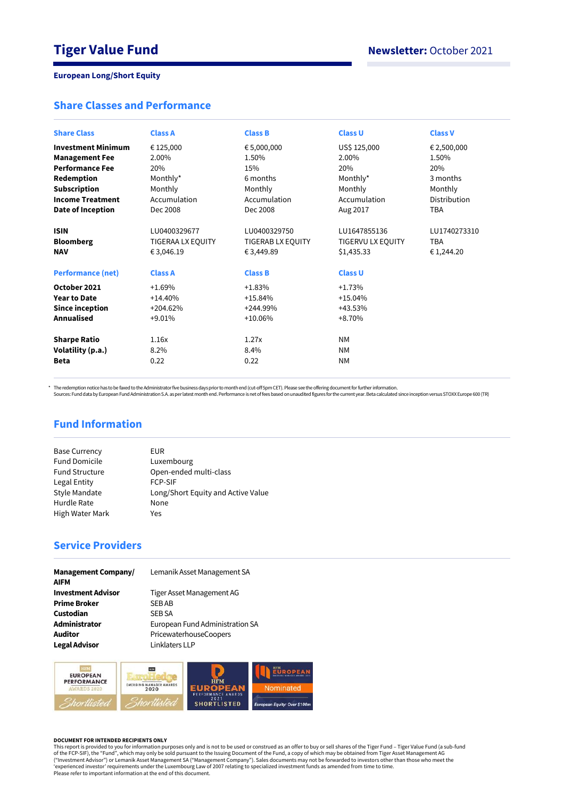# **Share Classes and Performance**

| <b>Share Class</b>                                                        | <b>Class A</b>                                                   | <b>Class B</b>                                                    | <b>Class U</b>                                                           | <b>Class V</b>                           |
|---------------------------------------------------------------------------|------------------------------------------------------------------|-------------------------------------------------------------------|--------------------------------------------------------------------------|------------------------------------------|
| <b>Investment Minimum</b>                                                 | € 125,000                                                        | € 5,000,000                                                       | US\$ 125,000                                                             | € 2,500,000                              |
| <b>Management Fee</b>                                                     | 2.00%                                                            | 1.50%                                                             | 2.00%                                                                    | 1.50%                                    |
| <b>Performance Fee</b>                                                    | 20%                                                              | 15%                                                               | 20%                                                                      | 20%                                      |
| Redemption                                                                | Monthly*                                                         | 6 months                                                          | Monthly*                                                                 | 3 months                                 |
| <b>Subscription</b>                                                       | Monthly                                                          | Monthly                                                           | Monthly                                                                  | Monthly                                  |
| <b>Income Treatment</b>                                                   | Accumulation                                                     | Accumulation                                                      | Accumulation                                                             | Distribution                             |
| Date of Inception                                                         | Dec 2008                                                         | Dec 2008                                                          | Aug 2017                                                                 | <b>TBA</b>                               |
| <b>ISIN</b><br><b>Bloomberg</b><br><b>NAV</b><br><b>Performance (net)</b> | LU0400329677<br>TIGERAA LX EQUITY<br>€3,046.19<br><b>Class A</b> | LU0400329750<br>TIGERAB LX EQUITY<br>€ 3,449.89<br><b>Class B</b> | LU1647855136<br><b>TIGERVU LX EQUITY</b><br>\$1,435.33<br><b>Class U</b> | LU1740273310<br><b>TBA</b><br>€ 1,244.20 |
| October 2021                                                              | $+1.69%$                                                         | $+1.83%$                                                          | $+1.73%$                                                                 |                                          |
| <b>Year to Date</b>                                                       | $+14.40%$                                                        | $+15.84%$                                                         | $+15.04%$                                                                |                                          |
| <b>Since inception</b>                                                    | $+204.62%$                                                       | +244.99%                                                          | +43.53%                                                                  |                                          |
| <b>Annualised</b>                                                         | $+9.01%$                                                         | $+10.06%$                                                         | +8.70%                                                                   |                                          |
| <b>Sharpe Ratio</b>                                                       | 1.16x                                                            | 1.27x                                                             | <b>NM</b>                                                                |                                          |
| Volatility (p.a.)                                                         | 8.2%                                                             | 8.4%                                                              | <b>NM</b>                                                                |                                          |
| Beta                                                                      | 0.22                                                             | 0.22                                                              | <b>NM</b>                                                                |                                          |

\* The redemption notice has to be faxed to the Administrator five business days prior to month end (cut-off 5pm CET). Please see the offering document for further information.<br>Sources: Fund data by European Fund Administra

# **Fund Information**

| <b>Base Currency</b>  | EUR                                |
|-----------------------|------------------------------------|
| <b>Fund Domicile</b>  | Luxembourg                         |
| <b>Fund Structure</b> | Open-ended multi-class             |
| Legal Entity          | <b>FCP-SIF</b>                     |
| Style Mandate         | Long/Short Equity and Active Value |
| Hurdle Rate           | None                               |
| High Water Mark       | Yes                                |
|                       |                                    |

# **Service Providers**

| <b>Management Company/</b><br><b>AIFM</b> | Lemanik Asset Management SA     |
|-------------------------------------------|---------------------------------|
| <b>Investment Advisor</b>                 | Tiger Asset Management AG       |
| <b>Prime Broker</b>                       | <b>SEBAB</b>                    |
| Custodian                                 | <b>SEB SA</b>                   |
| Administrator                             | European Fund Administration SA |
| <b>Auditor</b>                            | PricewaterhouseCoopers          |
| <b>Legal Advisor</b>                      | Linklaters LLP                  |



#### **DOCUMENT FOR INTENDED RECIPIENTS ONLY**

This report is provided to you for information purposes only and is not to be used or construed as an offer to buy or sell shares of the Tiger Fund – Tiger Value Fund (a sub-fund<br>of the FCP-SIF), the "Fund", which may only